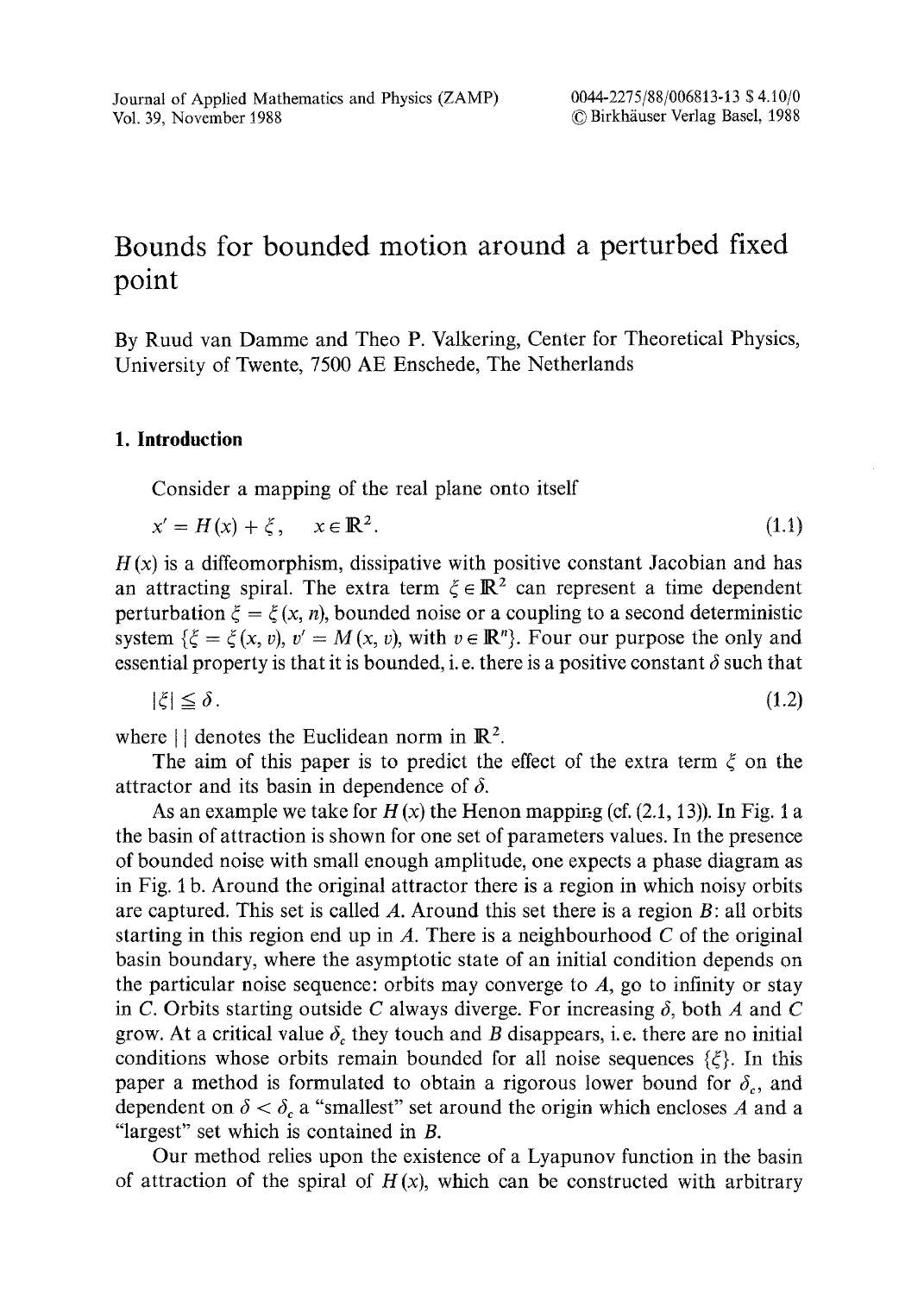# **Bounds for bounded motion around a perturbed fixed point**

By Ruud van Damme and Theo P. Valkering, Center for Theoretical Physics, University of Twente, 7500 AE Enschede, The Netherlands

# **1. Introduction**

Consider a mapping of the real plane onto itself

$$
x' = H(x) + \xi, \quad x \in \mathbb{R}^2. \tag{1.1}
$$

 $H(x)$  is a diffeomorphism, dissipative with positive constant Jacobian and has an attracting spiral. The extra term  $\xi \in \mathbb{R}^2$  can represent a time dependent perturbation  $\xi = \xi(x, n)$ , bounded noise or a coupling to a second deterministic system  $\{\xi = \xi(x, v), v' = M(x, v), \text{ with } v \in \mathbb{R}^n\}$ . Four our purpose the only and essential property is that it is bounded, i.e. there is a positive constant  $\delta$  such that

$$
|\xi| \leq \delta. \tag{1.2}
$$

where  $||$  denotes the Euclidean norm in  $\mathbb{R}^2$ .

The aim of this paper is to predict the effect of the extra term  $\xi$  on the attractor and its basin in dependence of  $\delta$ .

As an example we take for  $H(x)$  the Henon mapping (cf. (2.1, 13)). In Fig. 1 a the basin of attraction is shown for one set of parameters values. In the presence of bounded noise with small enough amplitude, one expects a phase diagram as in Fig. I b. Around the original attractor there is a region in which noisy orbits are captured. This set is called  $A$ . Around this set there is a region  $B$ : all orbits starting in this region end up in  $A$ . There is a neighbourhood  $C$  of the original basin boundary, where the asymptotic state of an initial condition depends on the particular noise sequence: orbits may converge to  $A$ , go to infinity or stay in C. Orbits starting outside C always diverge. For increasing  $\delta$ , both A and C grow. At a critical value  $\delta_c$  they touch and B disappears, i.e. there are no initial conditions whose orbits remain bounded for all noise sequences  $\{\xi\}$ . In this paper a method is formulated to obtain a rigorous lower bound for  $\delta_c$ , and dependent on  $\delta < \delta_c$  a "smallest" set around the origin which encloses A and a "largest" set which is contained in B.

Our method relies upon the existence of a Lyapunov function in the basin of attraction of the spiral of  $H(x)$ , which can be constructed with arbitrary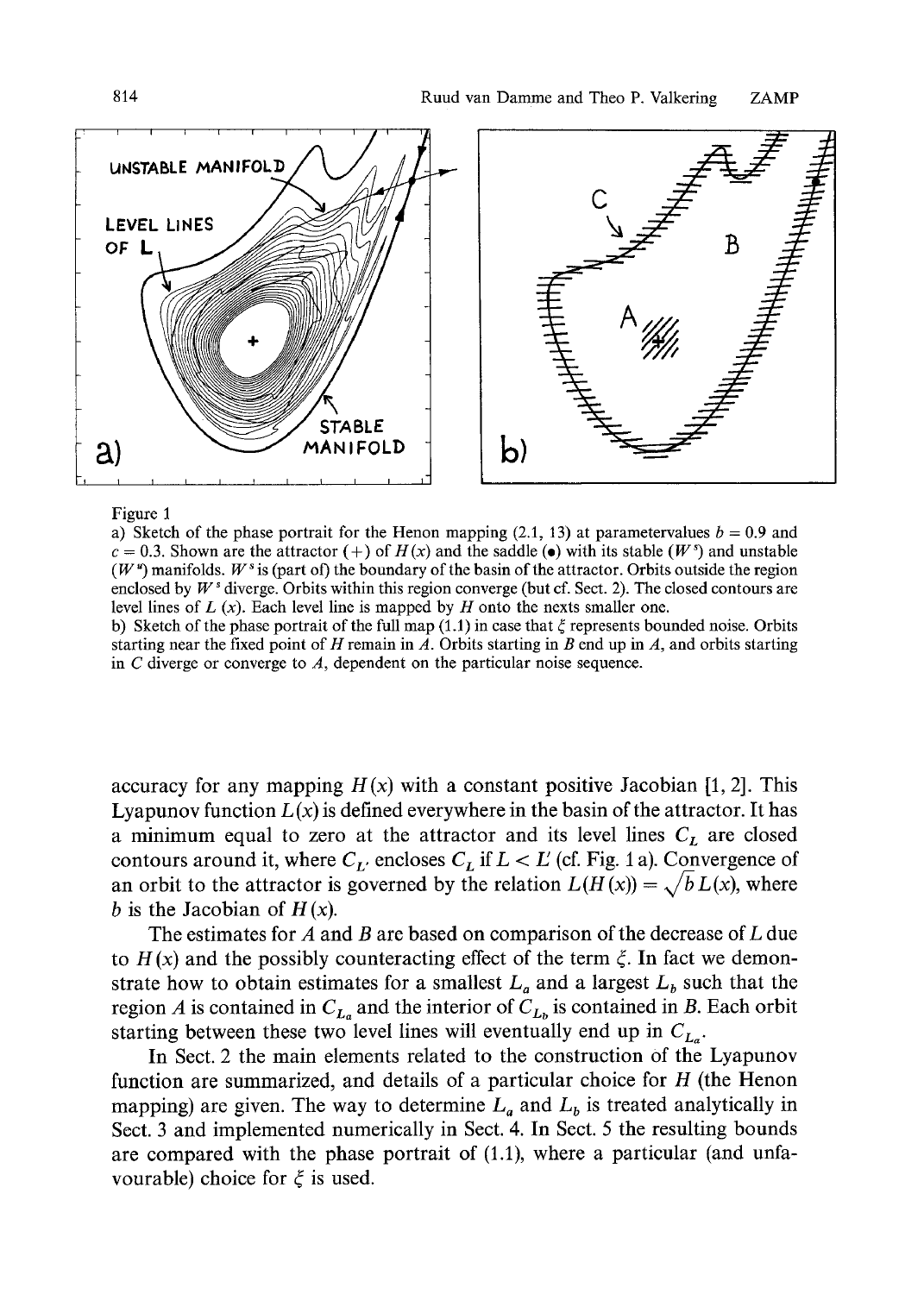

#### Figure 1

a) Sketch of the phase portrait for the Henon mapping (2.1, 13) at parametervalues  $b = 0.9$  and  $c = 0.3$ . Shown are the attractor (+) of  $H(x)$  and the saddle ( $\bullet$ ) with its stable ( $W^s$ ) and unstable  $(W^{\nu})$  manifolds. W<sup>s</sup> is (part of) the boundary of the basin of the attractor. Orbits outside the region enclosed by  $W^s$  diverge. Orbits within this region converge (but cf. Sect. 2). The closed contours are level lines of  $L(x)$ . Each level line is mapped by  $H$  onto the nexts smaller one.

b) Sketch of the phase portrait of the full map (1.1) in case that  $\xi$  represents bounded noise. Orbits starting near the fixed point of H remain in  $\hat{A}$ . Orbits starting in B end up in A, and orbits starting in  $C$  diverge or converge to  $A$ , dependent on the particular noise sequence.

accuracy for any mapping  $H(x)$  with a constant positive Jacobian [1, 2]. This Lyapunov function  $L(x)$  is defined everywhere in the basin of the attractor. It has a minimum equal to zero at the attractor and its level lines  $C_L$  are closed contours around it, where  $C_{L'}$  encloses  $C_{L}$  if  $L < L'$  (cf. Fig. 1 a). Convergence of an orbit to the attractor is governed by the relation  $L(H(x)) = \sqrt{b} L(x)$ , where b is the Jacobian of  $H(x)$ .

The estimates for A and B are based on comparison of the decrease of L due to  $H(x)$  and the possibly counteracting effect of the term  $\xi$ . In fact we demonstrate how to obtain estimates for a smallest  $L_a$  and a largest  $L_b$  such that the region A is contained in  $C_{L_a}$  and the interior of  $C_{L_b}$  is contained in B. Each orbit starting between these two level lines will eventually end up in  $C_{L_a}$ .

In Sect. 2 the main elements related to the construction of the Lyapunov function are summarized, and details of a particular choice for  $H$  (the Henon mapping) are given. The way to determine  $L_a$  and  $L_b$  is treated analytically in Sect. 3 and implemented numerically in Sect. 4. In Sect. 5 the resulting bounds are compared with the phase portrait of (1.1), where a particular (and unfavourable) choice for  $\xi$  is used.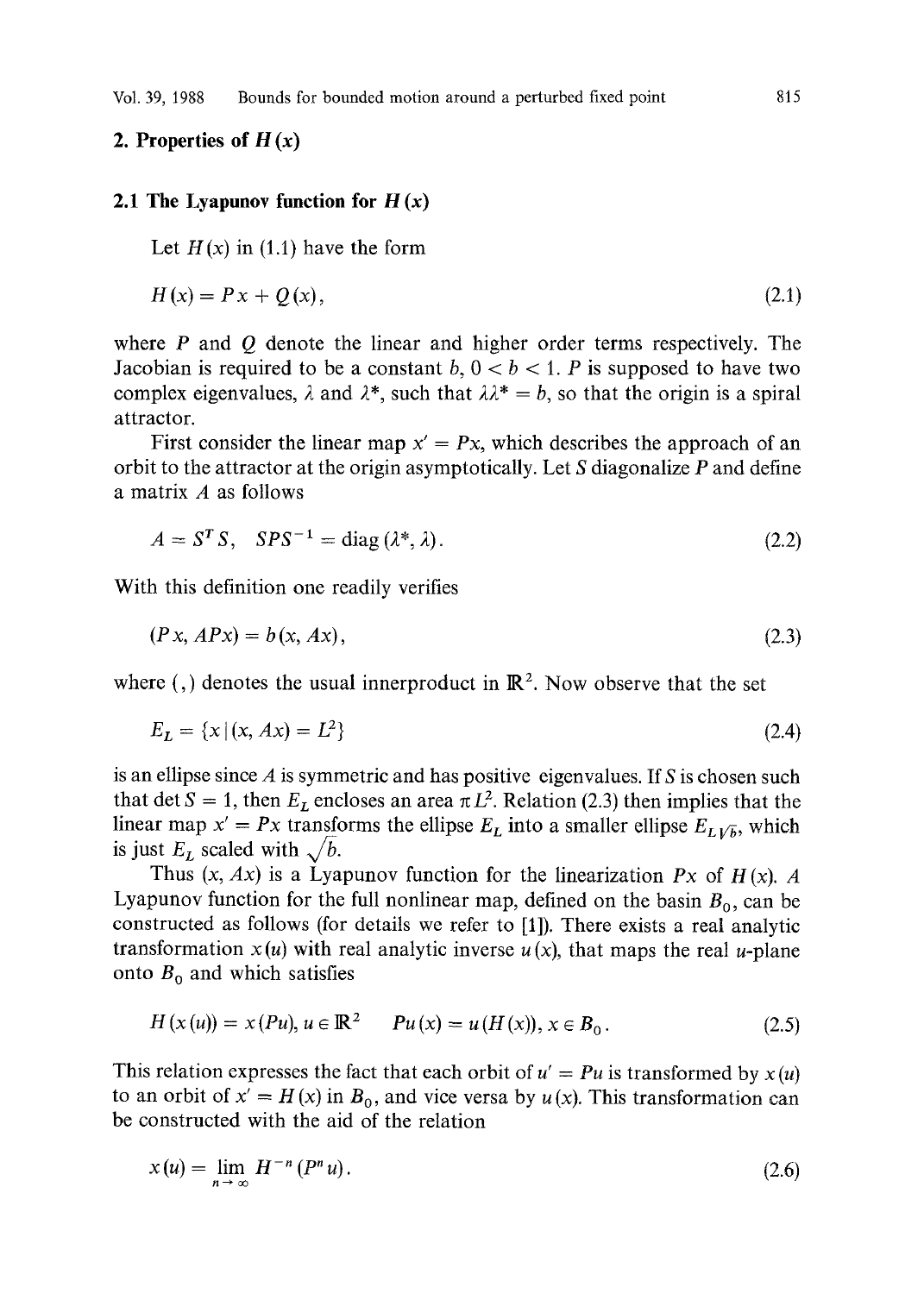# **2. Properties of**  $H(x)$

## **2.1 The Lyapunov function for H (x)**

Let  $H(x)$  in (1.1) have the form

$$
H(x) = Px + Q(x),
$$
\n(2.1)

where  $P$  and  $Q$  denote the linear and higher order terms respectively. The Jacobian is required to be a constant  $b, 0 < b < 1$ . P is supposed to have two complex eigenvalues,  $\lambda$  and  $\lambda^*$ , such that  $\lambda \lambda^* = b$ , so that the origin is a spiral attractor.

First consider the linear map  $x' = Px$ , which describes the approach of an orbit to the attractor at the origin asymptotically. Let S diagonalize P and define a matrix A as follows

$$
A = ST S, SPS-1 = diag(\lambda^*, \lambda).
$$
 (2.2)

With this definition one readily verifies

$$
(Px, APx) = b(x, Ax),\tag{2.3}
$$

where (,) denotes the usual innerproduct in  $\mathbb{R}^2$ . Now observe that the set

$$
E_L = \{x \mid (x, Ax) = L^2\}
$$
\n(2.4)

is an ellipse since  $\vec{A}$  is symmetric and has positive eigenvalues. If  $\vec{S}$  is chosen such that det  $S = 1$ , then  $E_L$  encloses an area  $\pi L^2$ . Relation (2.3) then implies that the linear map  $x' = Px$  transforms the ellipse  $E_L$  into a smaller ellipse  $E_{L1/\overline{b}}$ , which is just  $E_L$  scaled with  $\sqrt{b}$ .

Thus  $(x, Ax)$  is a Lyapunov function for the linearization *Px* of  $H(x)$ . A Lyapunov function for the full nonlinear map, defined on the basin  $B_0$ , can be constructed as follows (for details we refer to [1]). There exists a real analytic transformation  $x(u)$  with real analytic inverse  $u(x)$ , that maps the real u-plane onto  $B_0$  and which satisfies

$$
H(x(u)) = x(Pu), u \in \mathbb{R}^2 \qquad Pu(x) = u(H(x)), x \in B_0.
$$
 (2.5)

This relation expresses the fact that each orbit of  $u' = Pu$  is transformed by  $x(u)$ to an orbit of  $x' = H(x)$  in  $B_0$ , and vice versa by  $u(x)$ . This transformation can be constructed with the aid of the relation

$$
x(u) = \lim_{n \to \infty} H^{-n} (P^n u). \tag{2.6}
$$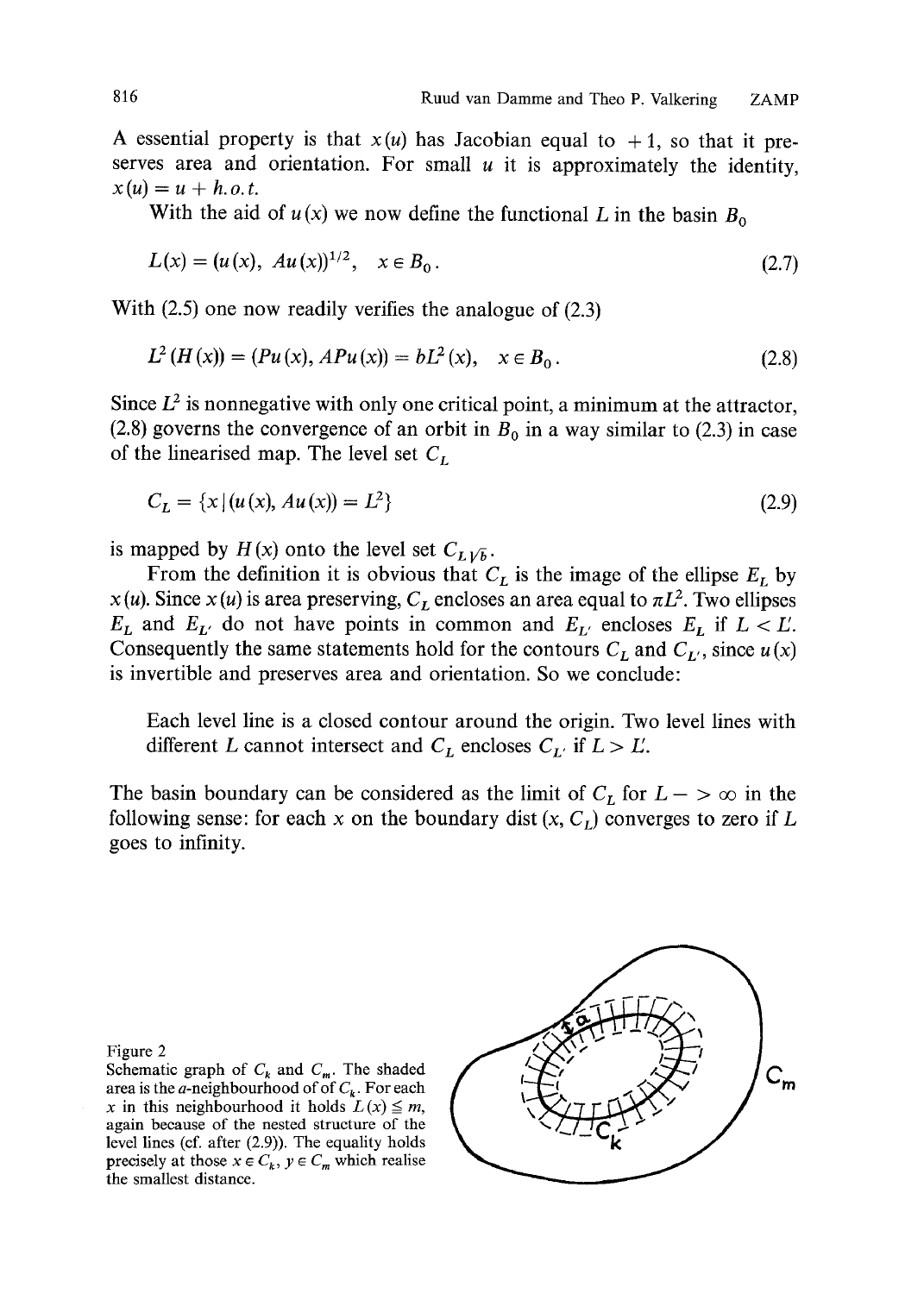A essential property is that  $x(u)$  has Jacobian equal to  $+1$ , so that it preserves area and orientation. For small  $u$  it is approximately the identity,  $x(u) = u + h.o.t.$ 

With the aid of  $u(x)$  we now define the functional L in the basin  $B_0$ 

$$
L(x) = (u(x), Au(x))^{1/2}, \quad x \in B_0.
$$
 (2.7)

With (2.5) one now readily verifies the analogue of (2.3)

$$
L^{2}(H(x)) = (Pu(x), APu(x)) = bL^{2}(x), \quad x \in B_{0}.
$$
\n(2.8)

Since  $L^2$  is nonnegative with only one critical point, a minimum at the attractor, (2.8) governs the convergence of an orbit in  $B_0$  in a way similar to (2.3) in case of the linearised map. The level set  $C_L$ 

$$
C_L = \{x \mid (u(x), Au(x)) = L^2\}
$$
\n(2.9)

is mapped by  $H(x)$  onto the level set  $C_{L\sqrt{b}}$ .

From the definition it is obvious that  $C<sub>L</sub>$  is the image of the ellipse  $E<sub>L</sub>$  by  $x(u)$ . Since  $x(u)$  is area preserving,  $C_L$  encloses an area equal to  $\pi L^2$ . Two ellipses  $E_L$  and  $E_{L'}$  do not have points in common and  $E_{L'}$  encloses  $E_L$  if  $L < L'$ . Consequently the same statements hold for the contours  $C_L$  and  $C_{L'}$ , since  $u(x)$ is invertible and preserves area and orientation. So we conclude:

Each level line is a closed contour around the origin. Two level lines with different L cannot intersect and  $C_L$  encloses  $C_{L'}$  if  $L > L'$ .

The basin boundary can be considered as the limit of  $C_L$  for  $L \rightarrow \infty$  in the following sense: for each x on the boundary dist  $(x, C<sub>L</sub>)$  converges to zero if L goes to infinity.

Figure 2

Schematic graph of  $C_k$  and  $C_m$ . The shaded area is the *a*-neighbourhood of of  $C_k$ . For each x in this neighbourhood it holds  $L(x) \leq m$ , again because of the nested structure of the level lines (cf. after (2.9)). The equality holds precisely at those  $x \in C_k$ ,  $y \in C_m$  which realise the smallest distance.

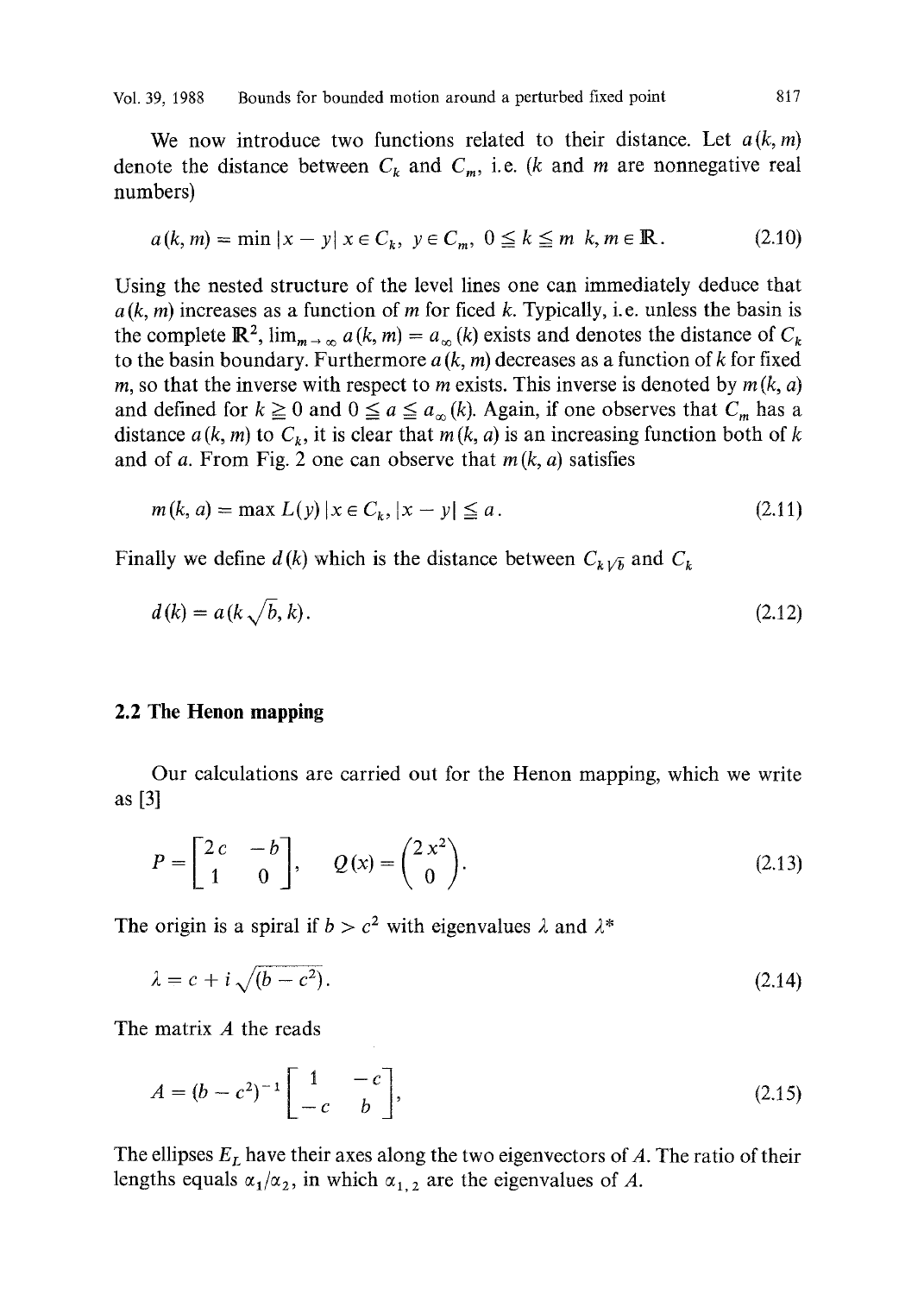We now introduce two functions related to their distance. Let *a(k, m)*  denote the distance between  $C_k$  and  $C_m$ , i.e. (k and m are nonnegative real numbers)

$$
a(k, m) = \min |x - y| \; x \in C_k, \; y \in C_m, \; 0 \le k \le m \; k, m \in \mathbb{R} \,. \tag{2.10}
$$

Using the nested structure of the level lines one can immediately deduce that  $a(k, m)$  increases as a function of m for ficed k. Typically, i.e. unless the basin is the complete  $\mathbb{R}^2$ ,  $\lim_{m \to \infty} a(k, m) = a_{\infty}(k)$  exists and denotes the distance of  $C_k$ to the basin boundary. Furthermore  $a(k, m)$  decreases as a function of k for fixed m, so that the inverse with respect to m exists. This inverse is denoted by  $m(k, a)$ and defined for  $k \ge 0$  and  $0 \le a \le a_{\infty}(k)$ . Again, if one observes that  $C_m$  has a distance  $a(k, m)$  to  $C_k$ , it is clear that  $m(k, a)$  is an increasing function both of k and of a. From Fig. 2 one can observe that  $m(k, a)$  satisfies

$$
m(k, a) = \max L(y) | x \in C_k, |x - y| \le a.
$$
 (2.11)

Finally we define  $d(k)$  which is the distance between  $C_{k\sqrt{b}}$  and  $C_{k\sqrt{b}}$ 

$$
d(k) = a(k\sqrt{b}, k). \tag{2.12}
$$

# **2.2 The Henon mapping**

Our calculations are carried out for the Henon mapping, which we write as [3]

$$
P = \begin{bmatrix} 2c & -b \\ 1 & 0 \end{bmatrix}, \qquad Q(x) = \begin{pmatrix} 2x^2 \\ 0 \end{pmatrix}.
$$
 (2.13)

The origin is a spiral if  $b > c^2$  with eigenvalues  $\lambda$  and  $\lambda^*$ 

$$
\lambda = c + i \sqrt{(b - c^2)}.
$$
\n(2.14)

The matrix A the reads

$$
A = (b - c2)-1 \begin{bmatrix} 1 & -c \\ -c & b \end{bmatrix},
$$
\n(2.15)

The ellipses  $E_L$  have their axes along the two eigenvectors of A. The ratio of their lengths equals  $\alpha_1/\alpha_2$ , in which  $\alpha_{1,2}$  are the eigenvalues of A.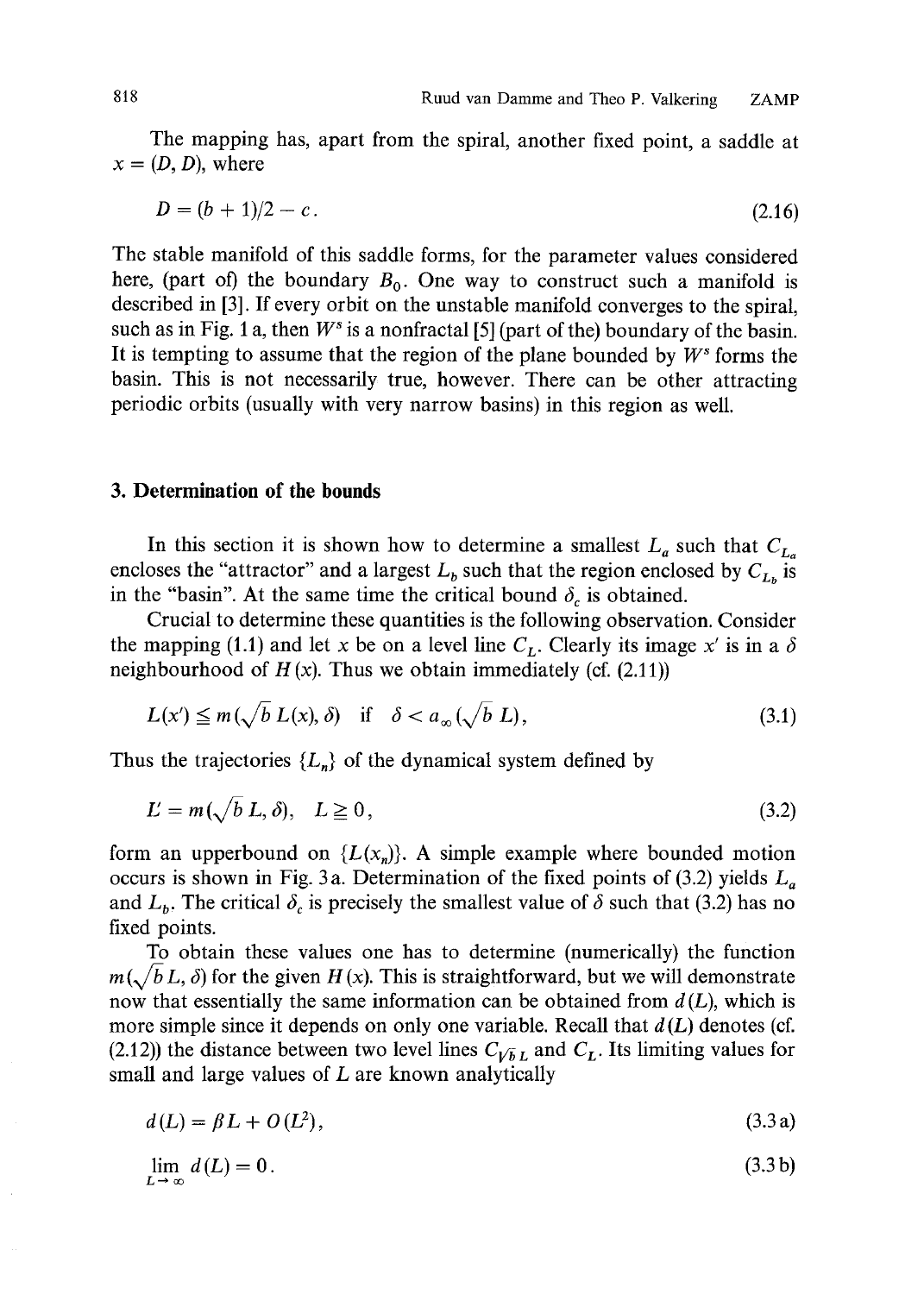The mapping has, apart from the spiral, another fixed point, a saddle at  $x = (D, D)$ , where

$$
D = (b+1)/2 - c. \tag{2.16}
$$

The stable manifold of this saddle forms, for the parameter values considered here, (part of) the boundary  $B_0$ . One way to construct such a manifold is described in [3]. If every orbit on the unstable manifold converges to the spiral, such as in Fig. 1 a, then  $W^s$  is a nonfractal [5] (part of the) boundary of the basin. It is tempting to assume that the region of the plane bounded by  $W^s$  forms the basin. This is not necessarily true, however. There can be other attracting periodic orbits (usually with very narrow basins) in this region as well.

## **3. Determination of the bounds**

In this section it is shown how to determine a smallest  $L_a$  such that  $C_{L_a}$ encloses the "attractor" and a largest  $L<sub>b</sub>$  such that the region enclosed by  $C<sub>L<sub>b</sub></sub>$  is in the "basin". At the same time the critical bound  $\delta_c$  is obtained.

Crucial to determine these quantities is the following observation. Consider the mapping (1.1) and let x be on a level line  $C_L$ . Clearly its image x' is in a  $\delta$ neighbourhood of  $H(x)$ . Thus we obtain immediately (cf. (2.11))

$$
L(x') \le m(\sqrt{b} L(x), \delta) \quad \text{if} \quad \delta < a_{\infty}(\sqrt{b} L), \tag{3.1}
$$

Thus the trajectories  ${L_n}$  of the dynamical system defined by

$$
L = m(\sqrt{b} L, \delta), \quad L \ge 0,
$$
\n
$$
(3.2)
$$

form an upperbound on  ${L(x_n)}$ . A simple example where bounded motion occurs is shown in Fig. 3a. Determination of the fixed points of (3.2) yields  $L_a$ and  $L<sub>b</sub>$ . The critical  $\delta<sub>c</sub>$  is precisely the smallest value of  $\delta$  such that (3.2) has no fixed points.

To obtain these values one has to determine (numerically) the function  $m(\sqrt{b}L, \delta)$  for the given  $H(x)$ . This is straightforward, but we will demonstrate now that essentially the same information can be obtained from  $d(L)$ , which is more simple since it depends on only one variable. Recall that  $d(L)$  denotes (cf. (2.12)) the distance between two level lines  $C_{VbL}$  and  $C_L$ . Its limiting values for small and large values of  $L$  are known analytically

$$
d(L) = \beta L + O(L^2),
$$
\n(3.3a)

$$
\lim_{L \to \infty} d(L) = 0. \tag{3.3b}
$$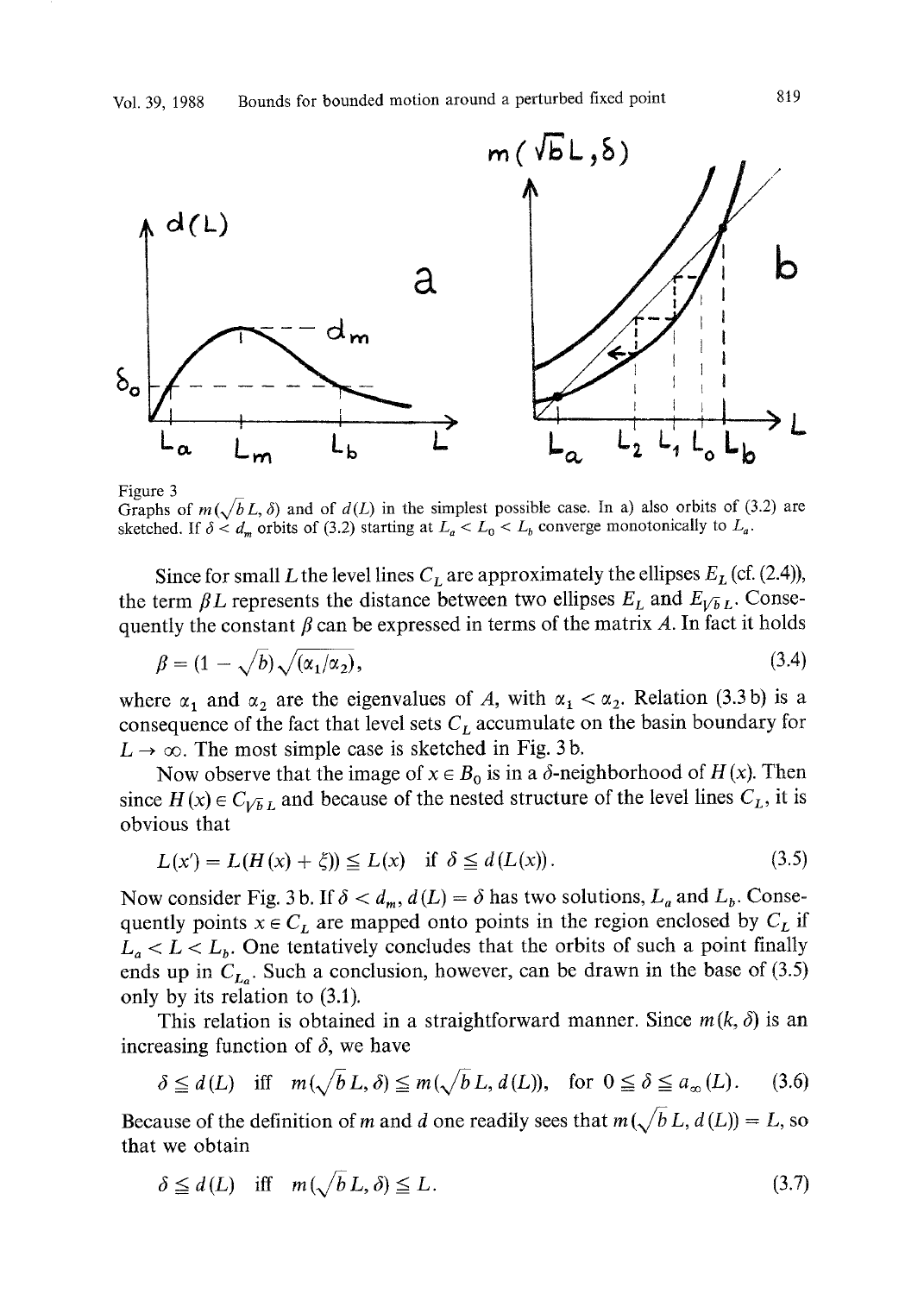

Figure 3

Graphs of  $m(\sqrt{b}L, \delta)$  and of  $d(L)$  in the simplest possible case. In a) also orbits of (3.2) are sketched. If  $\delta < d_m$  orbits of (3.2) starting at  $L_a < L_0 < L_b$  converge monotonically to  $L_a$ .

Since for small L the level lines  $C<sub>L</sub>$  are approximately the ellipses  $E<sub>L</sub>$  (cf. (2.4)), the term  $\beta L$  represents the distance between two ellipses  $E_L$  and  $E_{VbL}$ . Consequently the constant  $\beta$  can be expressed in terms of the matrix A. In fact it holds

$$
\beta = (1 - \sqrt{b})\sqrt{(\alpha_1/\alpha_2)},\tag{3.4}
$$

where  $\alpha_1$  and  $\alpha_2$  are the eigenvalues of A, with  $\alpha_1 < \alpha_2$ . Relation (3.3b) is a consequence of the fact that level sets  $C<sub>L</sub>$  accumulate on the basin boundary for  $L \rightarrow \infty$ . The most simple case is sketched in Fig. 3b.

Now observe that the image of  $x \in B_0$  is in a  $\delta$ -neighborhood of  $H(x)$ . Then since  $H(x) \in C_{VbL}$  and because of the nested structure of the level lines  $C_L$ , it is obvious that

$$
L(x') = L(H(x) + \zeta) \le L(x) \quad \text{if } \delta \le d(L(x)). \tag{3.5}
$$

Now consider Fig. 3 b. If  $\delta < d_m$ ,  $d(L) = \delta$  has two solutions,  $L_a$  and  $L_b$ . Consequently points  $x \in C_L$  are mapped onto points in the region enclosed by  $C_L$  if  $L_a < L < L_b$ . One tentatively concludes that the orbits of such a point finally ends up in  $C_{L_0}$ . Such a conclusion, however, can be drawn in the base of (3.5) only by its relation to (3.1).

This relation is obtained in a straightforward manner. Since  $m(k, \delta)$  is an increasing function of  $\delta$ , we have

$$
\delta \le d(L) \quad \text{iff} \quad m(\sqrt{b} \, L, \delta) \le m(\sqrt{b} \, L, d(L)), \quad \text{for} \ \ 0 \le \delta \le a_{\infty}(L). \tag{3.6}
$$

Because of the definition of m and d one readily sees that  $m(\sqrt{b} L, d(L)) = L$ , so that we obtain

$$
\delta \le d(L) \quad \text{iff} \quad m(\sqrt{b} \, L, \delta) \le L. \tag{3.7}
$$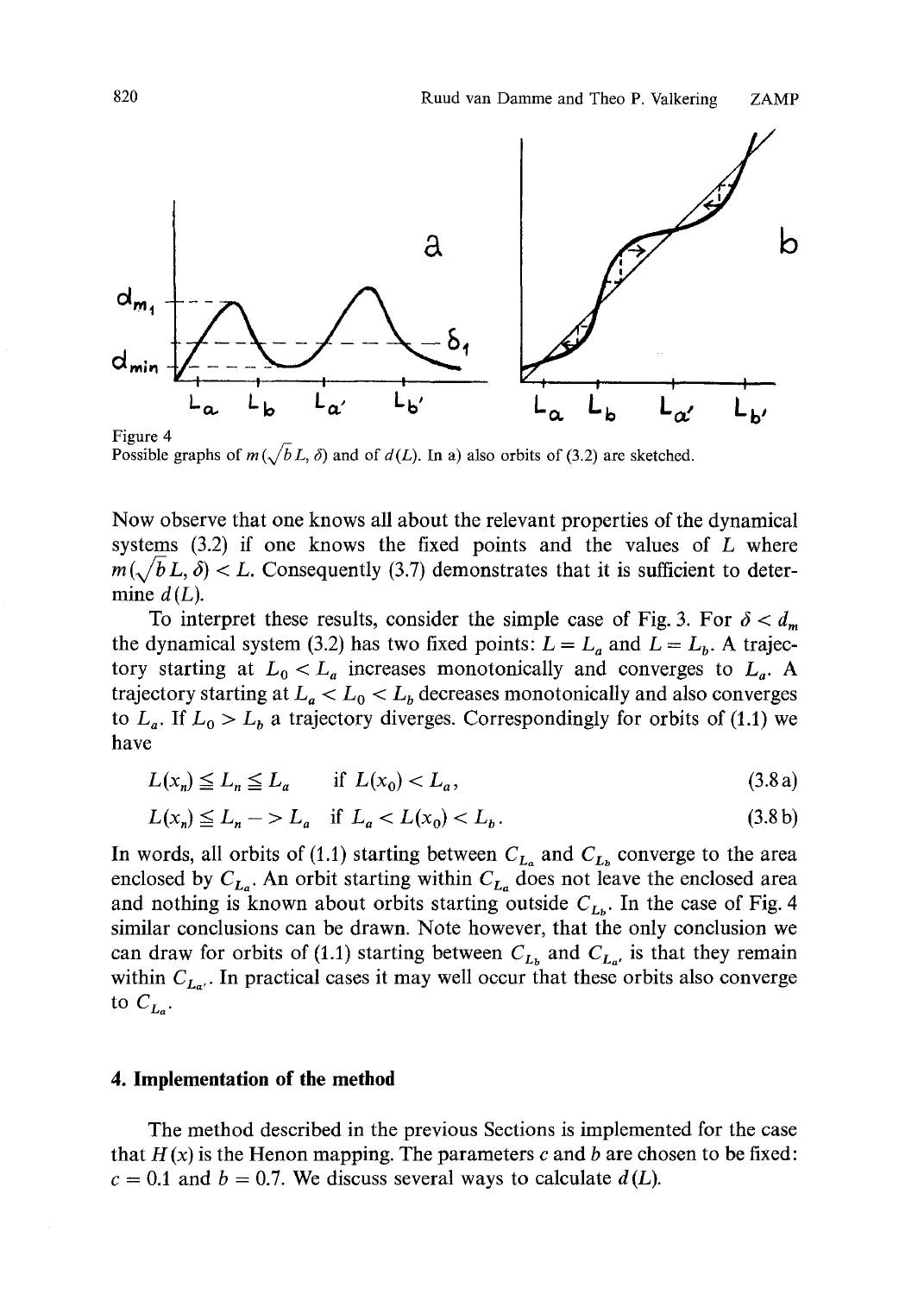

Possible graphs of  $m(\sqrt{b}L, \delta)$  and of  $d(L)$ . In a) also orbits of (3.2) are sketched.

Now observe that one knows all about the relevant properties of the dynamical systems  $(3.2)$  if one knows the fixed points and the values of  $L$  where  $m(\sqrt{b}L, \delta) < L$ . Consequently (3.7) demonstrates that it is sufficient to determine  $d(L)$ .

To interpret these results, consider the simple case of Fig. 3. For  $\delta < d_m$ the dynamical system (3.2) has two fixed points:  $L = L_a$  and  $L = L_b$ . A trajectory starting at  $L_0 < L_a$  increases monotonically and converges to  $L_a$ . A trajectory starting at  $L_a < L_0 < L_b$  decreases monotonically and also converges to  $L_a$ . If  $L_0 > L_b$  a trajectory diverges. Correspondingly for orbits of (1.1) we have

$$
L(x_n) \le L_n \le L_a \qquad \text{if } L(x_0) < L_a,\tag{3.8a}
$$

$$
L(x_n) \le L_n \implies L_a \quad \text{if } L_a < L(x_0) < L_b. \tag{3.8b}
$$

In words, all orbits of (1.1) starting between  $C_{L_a}$  and  $C_{L_b}$  converge to the area enclosed by  $C_{L_a}$ . An orbit starting within  $C_{L_a}$  does not leave the enclosed area and nothing is known about orbits starting outside  $C_{L<sub>b</sub>$ . In the case of Fig. 4 similar conclusions can be drawn. Note however, that the only conclusion we can draw for orbits of (1.1) starting between  $C_{L_p}$  and  $C_{L_{a'}}$  is that they remain within  $C_{L_{\alpha'}}$ . In practical cases it may well occur that these orbits also converge to  $C_{L_0}$ .

## **4. Implementation of the method**

The method described in the previous Sections is implemented for the case that  $H(x)$  is the Henon mapping. The parameters c and b are chosen to be fixed:  $c = 0.1$  and  $b = 0.7$ . We discuss several ways to calculate  $d(L)$ .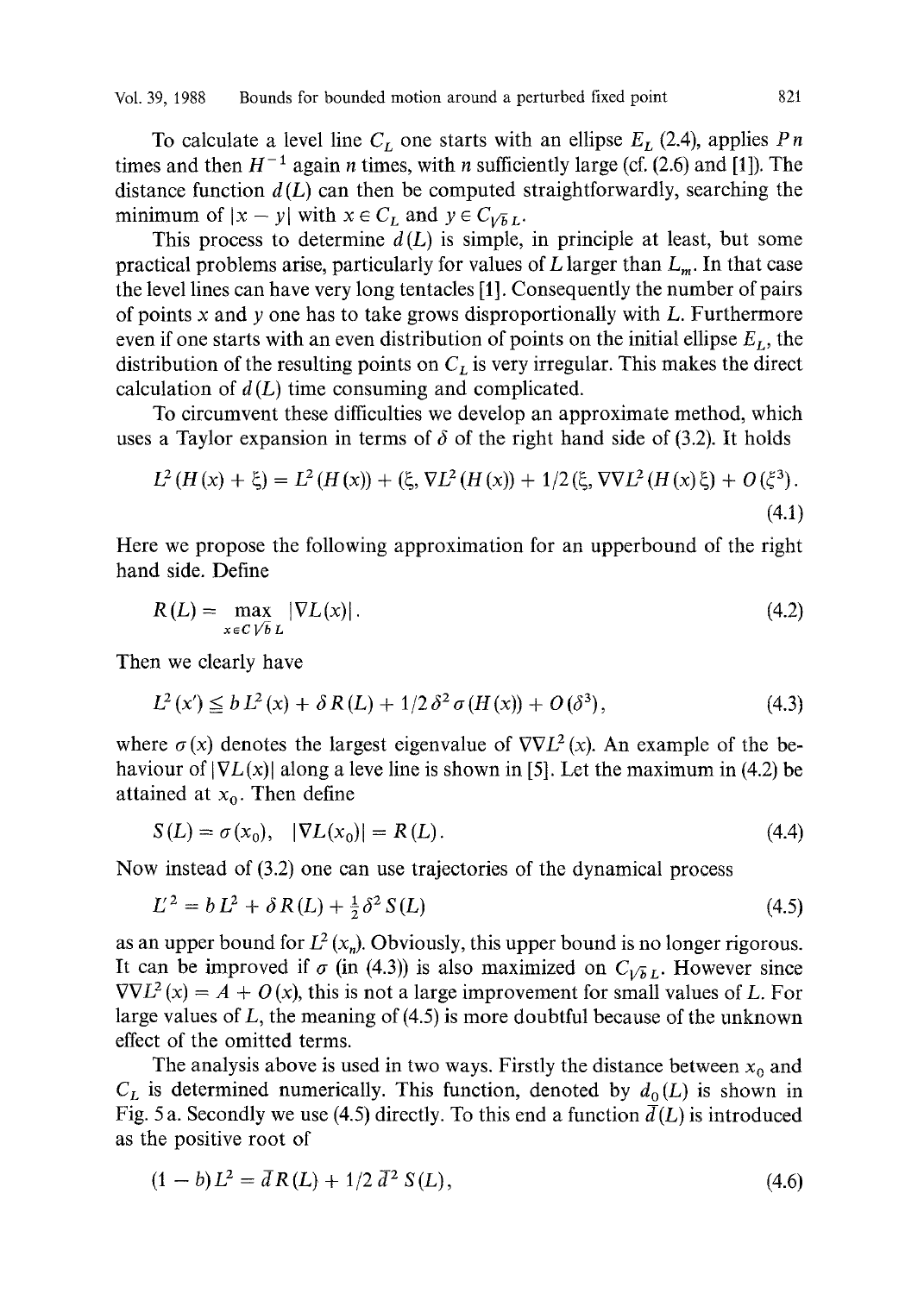To calculate a level line  $C_L$  one starts with an ellipse  $E_L$  (2.4), applies Pn times and then  $H^{-1}$  again *n* times, with *n* sufficiently large (cf. (2.6) and [1]). The distance function  $d(L)$  can then be computed straightforwardly, searching the minimum of  $|x - y|$  with  $x \in C_L$  and  $y \in C_{\sqrt{b}L}$ .

This process to determine  $d(L)$  is simple, in principle at least, but some practical problems arise, particularly for values of  $L$  larger than  $L_m$ . In that case the level lines can have very long tentacles [1]. Consequently the number of pairs of points  $x$  and  $y$  one has to take grows disproportionally with  $L$ . Furthermore even if one starts with an even distribution of points on the initial ellipse  $E_L$ , the distribution of the resulting points on  $C<sub>L</sub>$  is very irregular. This makes the direct calculation of  $d(L)$  time consuming and complicated.

To circumvent these difficulties we develop an approximate method, which uses a Taylor expansion in terms of  $\delta$  of the right hand side of (3.2). It holds

$$
L^{2}(H(x) + \xi) = L^{2}(H(x)) + (\xi, \nabla L^{2}(H(x)) + 1/2(\xi, \nabla \nabla L^{2}(H(x)\xi) + O(\xi^{3}).
$$
\n(4.1)

Here we propose the following approximation for an upperbound of the right hand side. Define

$$
R(L) = \max_{x \in C \setminus \overline{b} \ L} |\nabla L(x)|. \tag{4.2}
$$

Then we clearly have

$$
L^{2}(x') \leq b L^{2}(x) + \delta R(L) + 1/2 \delta^{2} \sigma(H(x)) + O(\delta^{3}), \qquad (4.3)
$$

where  $\sigma(x)$  denotes the largest eigenvalue of  $\nabla \nabla L^2(x)$ . An example of the behaviour of  $|\nabla L(x)|$  along a leve line is shown in [5]. Let the maximum in (4.2) be attained at  $x_0$ . Then define

$$
S(L) = \sigma(x_0), \quad |\nabla L(x_0)| = R(L). \tag{4.4}
$$

Now instead of (3.2) one can use trajectories of the dynamical process

$$
L^2 = bL^2 + \delta R(L) + \frac{1}{2}\delta^2 S(L) \tag{4.5}
$$

as an upper bound for  $L^2(x_n)$ . Obviously, this upper bound is no longer rigorous. It can be improved if  $\sigma$  (in (4.3)) is also maximized on  $C_{V\bar{b}L}$ . However since  $\nabla \nabla L^2(x) = A + O(x)$ , this is not a large improvement for small values of L. For large values of  $L$ , the meaning of  $(4.5)$  is more doubtful because of the unknown effect of the omitted terms.

The analysis above is used in two ways. Firstly the distance between  $x_0$  and  $C_L$  is determined numerically. This function, denoted by  $d_0(L)$  is shown in Fig. 5 a. Secondly we use (4.5) directly. To this end a function  $\overline{d}(L)$  is introduced as the positive root of

$$
(1-b)L^2 = \bar{d}R(L) + 1/2 \bar{d}^2 S(L), \qquad (4.6)
$$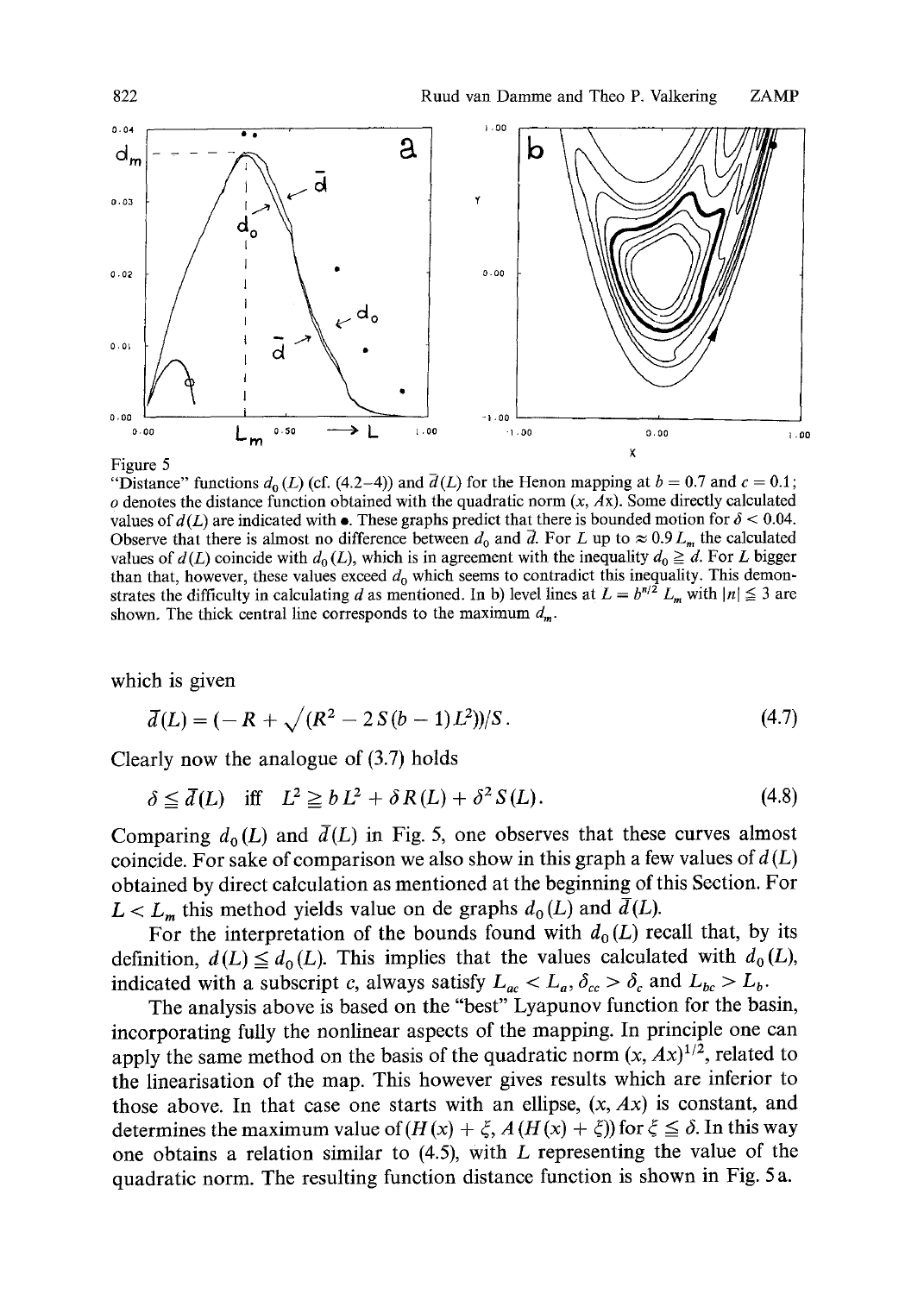

#### Figure 5

"Distance" functions  $d_0(L)$  (cf. (4.2-4)) and  $\overline{d}(L)$  for the Henon mapping at  $b = 0.7$  and  $c = 0.1$ ;  $o$  denotes the distance function obtained with the quadratic norm  $(x, Ax)$ . Some directly calculated values of  $d(L)$  are indicated with  $\bullet$ . These graphs predict that there is bounded motion for  $\delta$  < 0.04. Observe that there is almost no difference between  $d_0$  and  $\overline{d}$ . For L up to  $\approx 0.9 L_m$  the calculated values of  $d(L)$  coincide with  $d_0(L)$ , which is in agreement with the inequality  $d_0 \geq d$ . For L bigger than that, however, these values exceed  $d_0$  which seems to contradict this inequality. This demonstrates the difficulty in calculating d as mentioned. In b) level lines at  $L = b^{n/2} L_m$  with  $|n| \leq 3$  are shown. The thick central line corresponds to the maximum  $d_m$ .

which is given

$$
\bar{d}(L) = (-R + \sqrt{(R^2 - 2S(b - 1)L^2)})/S.
$$
\n(4.7)

Clearly now the analogue of (3.7) holds

$$
\delta \le \overline{d}(L) \quad \text{iff} \quad L^2 \ge b L^2 + \delta R(L) + \delta^2 S(L). \tag{4.8}
$$

Comparing  $d_0(L)$  and  $\bar{d}(L)$  in Fig. 5, one observes that these curves almost coincide. For sake of comparison we also show in this graph a few values of  $d(L)$ obtained by direct calculation as mentioned at the beginning of this Section. For  $L < L<sub>m</sub>$ , this method yields value on de graphs  $d_0(L)$  and  $\bar{d}(L)$ .

For the interpretation of the bounds found with  $d_0(L)$  recall that, by its definition,  $d(L) \leq d_0(L)$ . This implies that the values calculated with  $d_0(L)$ , indicated with a subscript c, always satisfy  $L_{ac} < L_a$ ,  $\delta_{cc} > \delta_c$  and  $L_{bc} > L_b$ .

The analysis above is based on the "best" Lyapunov function for the basin, incorporating fully the nonlinear aspects of the mapping. In principle one can apply the same method on the basis of the quadratic norm  $(x, Ax)^{1/2}$ , related to the linearisation of the map. This however gives results which are inferior to those above. In that case one starts with an ellipse,  $(x, Ax)$  is constant, and determines the maximum value of  $(H(x) + \xi, A(H(x) + \xi))$  for  $\xi \le \delta$ . In this way one obtains a relation similar to (4.5), with L representing the value of the quadratic norm. The resulting function distance function is shown in Fig. 5 a.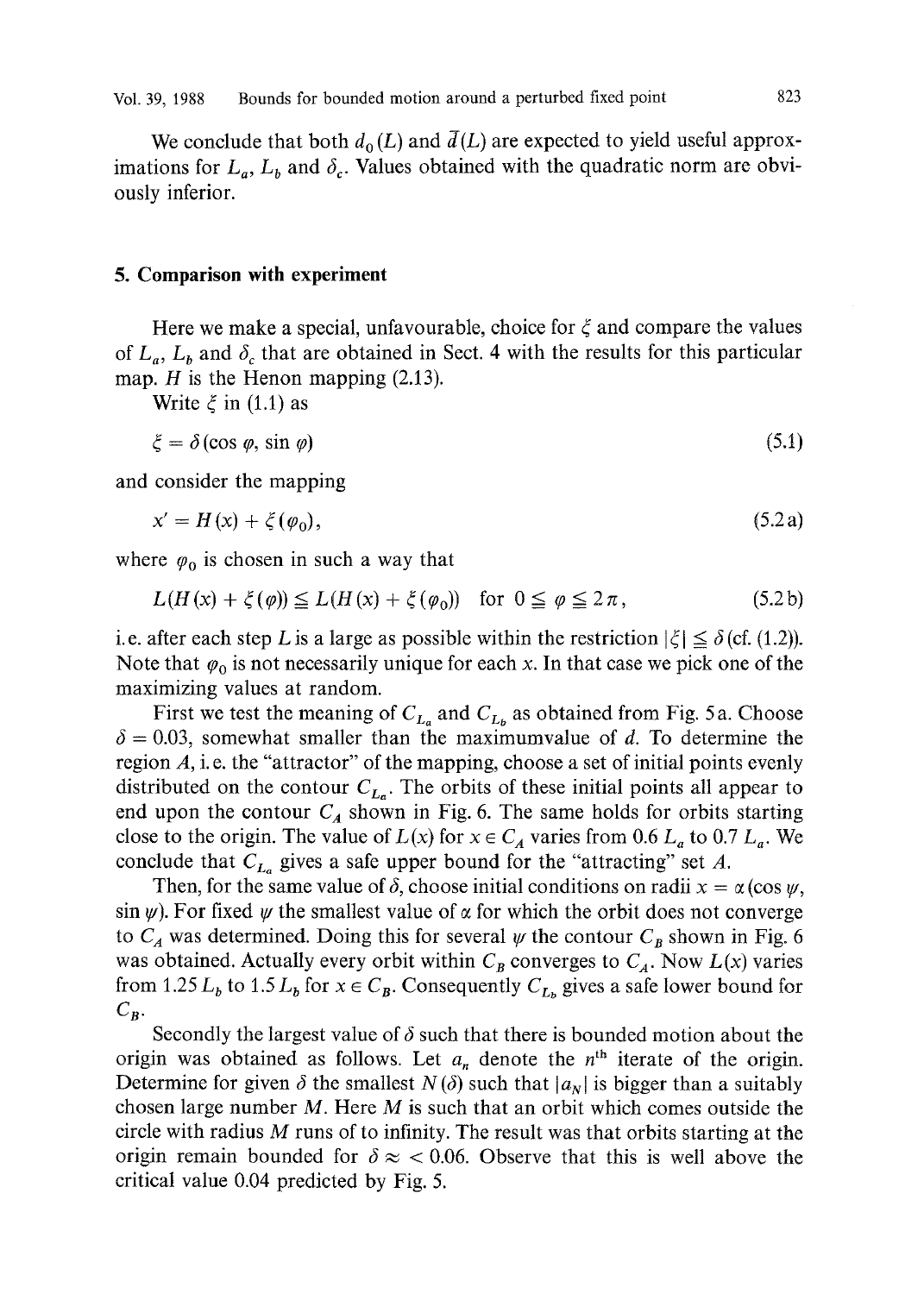We conclude that both  $d_0(L)$  and  $\bar{d}(L)$  are expected to yield useful approximations for  $L_a$ ,  $L_b$  and  $\delta_c$ . Values obtained with the quadratic norm are obviously inferior.

### **5. Comparison with experiment**

Here we make a special, unfavourable, choice for  $\xi$  and compare the values of  $L_a$ ,  $L_b$  and  $\delta_c$  that are obtained in Sect. 4 with the results for this particular map.  $H$  is the Henon mapping  $(2.13)$ .

Write  $\xi$  in (1.1) as

$$
\xi = \delta(\cos \varphi, \sin \varphi) \tag{5.1}
$$

and consider the mapping

$$
x' = H(x) + \xi(\varphi_0),\tag{5.2a}
$$

where  $\varphi_0$  is chosen in such a way that

$$
L(H(x) + \xi(\varphi)) \le L(H(x) + \xi(\varphi_0)) \quad \text{for } 0 \le \varphi \le 2\pi,
$$
 (5.2b)

i.e. after each step L is a large as possible within the restriction  $|\xi| \leq \delta$  (cf. (1.2)). Note that  $\varphi_0$  is not necessarily unique for each x. In that case we pick one of the maximizing values at random.

First we test the meaning of  $C_{L_a}$  and  $C_{L_b}$  as obtained from Fig. 5 a. Choose  $\delta = 0.03$ , somewhat smaller than the maximumvalue of d. To determine the region A, i. e. the "attractor" of the mapping, choose a set of initial points evenly distributed on the contour  $C_{L_n}$ . The orbits of these initial points all appear to end upon the contour  $C_A$  shown in Fig. 6. The same holds for orbits starting close to the origin. The value of  $L(x)$  for  $x \in C_A$  varies from 0.6  $L_a$  to 0.7  $L_a$ . We conclude that  $C_{L_a}$  gives a safe upper bound for the "attracting" set A.

Then, for the same value of  $\delta$ , choose initial conditions on radii  $x = \alpha (\cos \psi, \theta)$  $\sin \psi$ ). For fixed  $\psi$  the smallest value of  $\alpha$  for which the orbit does not converge to  $C_A$  was determined. Doing this for several  $\psi$  the contour  $C_B$  shown in Fig. 6 was obtained. Actually every orbit within  $C_B$  converges to  $C_A$ . Now  $L(x)$  varies from 1.25  $L_b$  to 1.5  $L_b$  for  $x \in C_B$ . Consequently  $C_{L_b}$  gives a safe lower bound for  $C_{\mathcal{B}}$ .

Secondly the largest value of  $\delta$  such that there is bounded motion about the origin was obtained as follows. Let  $a_n$  denote the  $n<sup>th</sup>$  iterate of the origin. Determine for given  $\delta$  the smallest  $N(\delta)$  such that  $|a_N|$  is bigger than a suitably chosen large number  $M$ . Here  $M$  is such that an orbit which comes outside the circle with radius  $M$  runs of to infinity. The result was that orbits starting at the origin remain bounded for  $\delta \approx 0.06$ . Observe that this is well above the critical value 0.04 predicted by Fig. 5.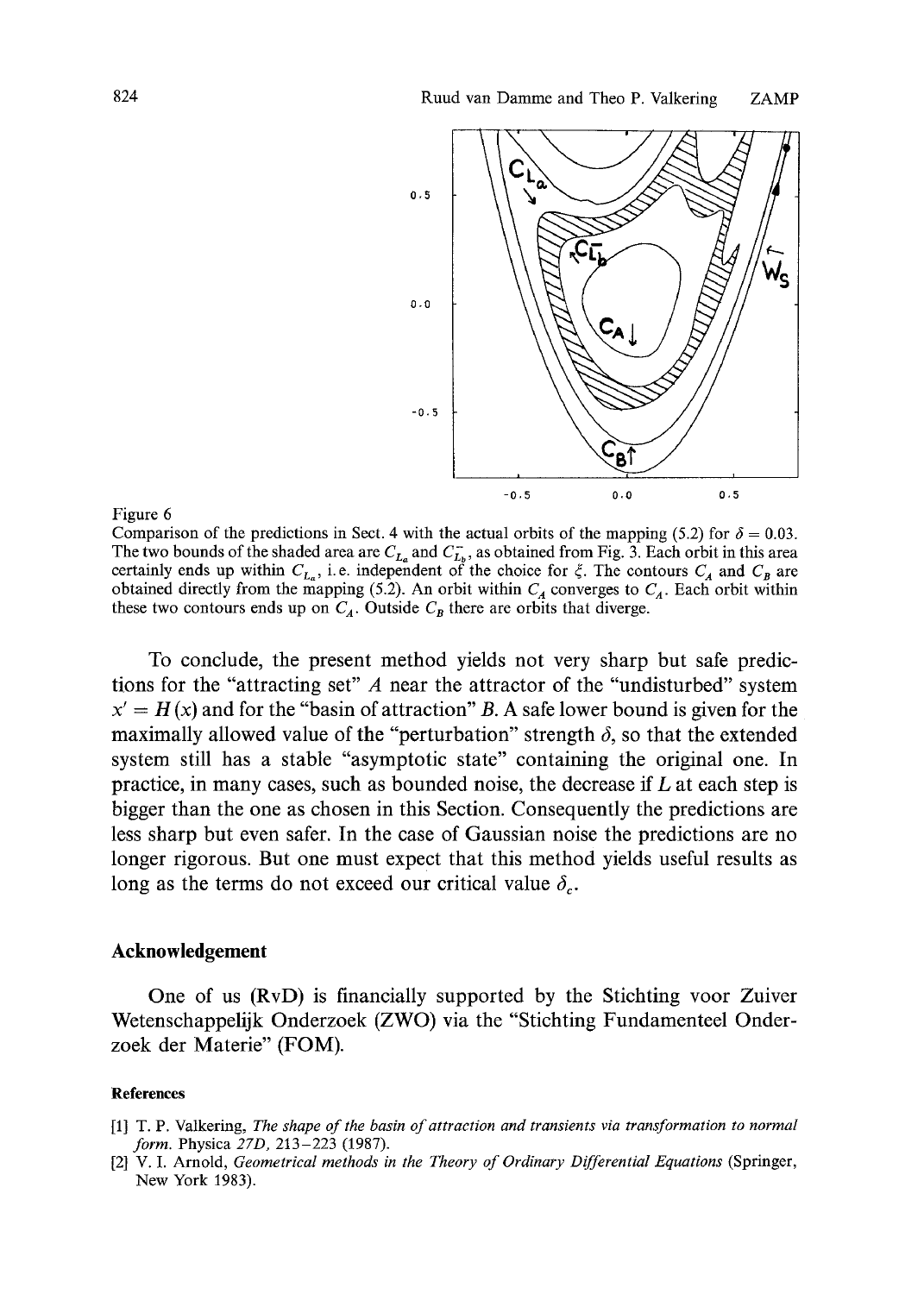

#### Figure 6

Comparison of the predictions in Sect. 4 with the actual orbits of the mapping (5.2) for  $\delta = 0.03$ . The two bounds of the shaded area are  $C_{L_a}$  and  $C_{L_b}^-$ , as obtained from Fig. 3. Each orbit in this area certainly ends up within  $C_{L_n}$ , i.e. independent of the choice for  $\xi$ . The contours  $C_A$  and  $C_B$  are obtained directly from the mapping (5.2). An orbit within  $C_A$  converges to  $C_A$ . Each orbit within these two contours ends up on  $C_A$ . Outside  $C_B$  there are orbits that diverge.

To conclude, the present method yields not very sharp but safe predictions for the "attracting set" A near the attractor of the "undisturbed" system  $x' = H(x)$  and for the "basin of attraction" B. A safe lower bound is given for the maximally allowed value of the "perturbation" strength  $\delta$ , so that the extended system still has a stable "asymptotic state" containing the original one. In practice, in many cases, such as bounded noise, the decrease if L at each step is bigger than the one as chosen in this Section. Consequently the predictions are less sharp but even safer. In the case of Gaussian noise the predictions are no longer rigorous. But one must expect that this method yields useful results as long as the terms do not exceed our critical value  $\delta_c$ .

# **Acknowledgement**

One of us (RvD) is financially supported by the Stichting voor Zuiver Wetenschappelijk Onderzoek (ZWO) via the "Stichting Fundamenteel Onderzoek der Materie" (FOM).

### **References**

- [1] T. P. Valkering, *The shape of the basin of attraction and transients via transformation to normal form.* Physica *27D,* 213-223 (1987).
- [2] V. I. Arnold, *Geometrical methods in the Theory of Ordinary Differential Equations* (Springer, New York 1983).